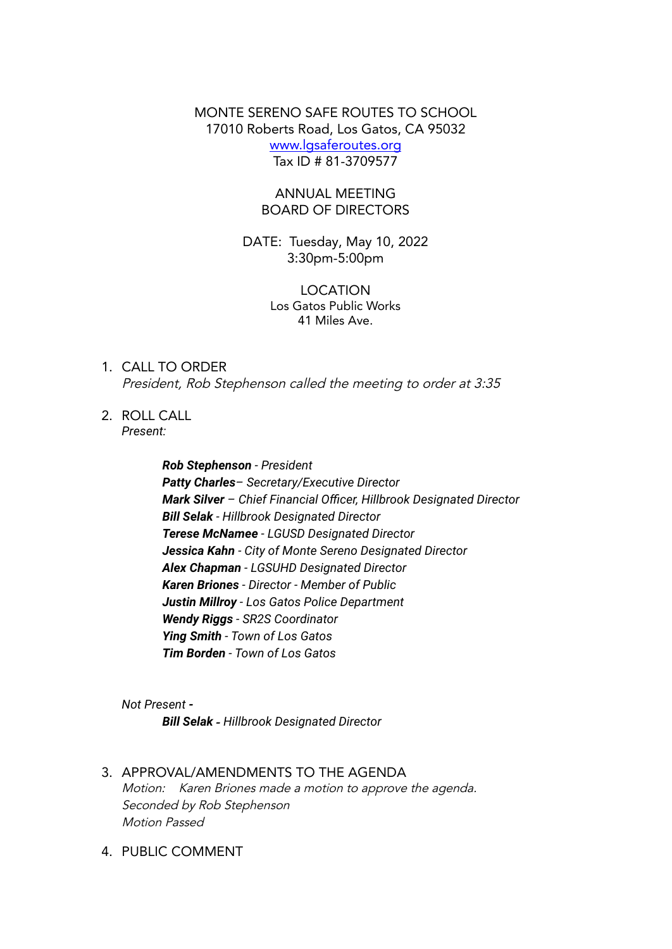MONTE SERENO SAFE ROUTES TO SCHOOL 17010 Roberts Road, Los Gatos, CA 95032 www.lgsaferoutes.org Tax ID # 81-3709577

#### ANNUAL MEETING BOARD OF DIRECTORS

DATE: Tuesday, May 10, 2022 3:30pm-5:00pm

#### LOCATION Los Gatos Public Works 41 Miles Ave.

- 1. CALL TO ORDER President, Rob Stephenson called the meeting to order at 3:35
- 2. ROLL CALL *Present:*

*Rob Stephenson - President Patty Charles– Secretary/Executive Director Mark Silver – Chief Financial Officer, Hillbrook Designated Director Bill Selak - Hillbrook Designated Director Terese McNamee - LGUSD Designated Director Jessica Kahn - City of Monte Sereno Designated Director Alex Chapman - LGSUHD Designated Director Karen Briones - Director - Member of Public Justin Millroy - Los Gatos Police Department Wendy Riggs - SR2S Coordinator Ying Smith - Town of Los Gatos Tim Borden - Town of Los Gatos*

*Not Present - Bill Selak - Hillbrook Designated Director*

- 3. APPROVAL/AMENDMENTS TO THE AGENDA Motion: Karen Briones made <sup>a</sup> motion to approve the agenda. Seconded by Rob Stephenson Motion Passed
- 4. PUBLIC COMMENT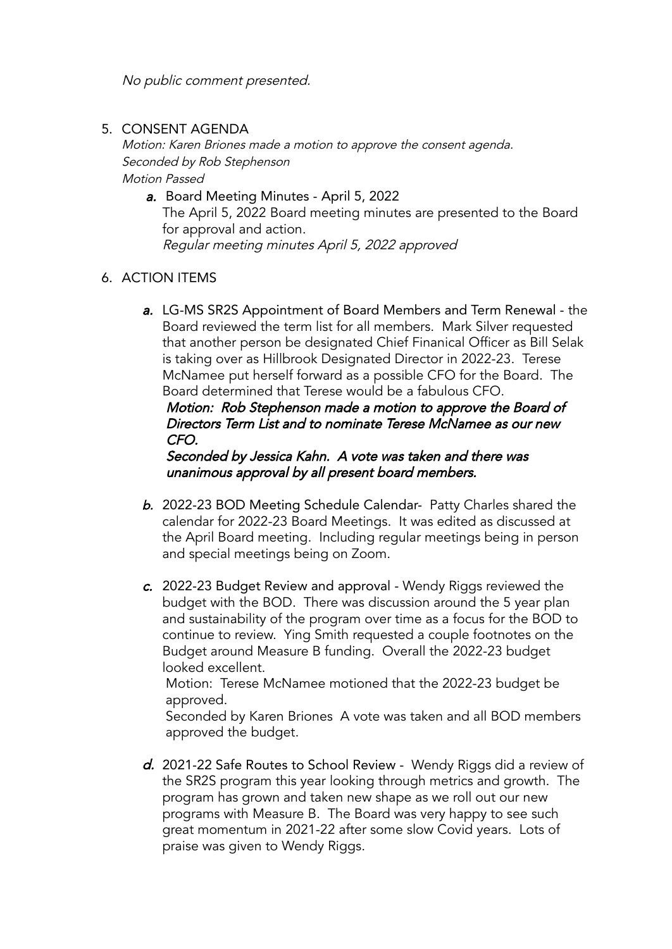No public comment presented.

#### 5. CONSENT AGENDA

Motion: Karen Briones made <sup>a</sup> motion to approve the consent agenda. Seconded by Rob Stephenson Motion Passed

a. Board Meeting Minutes - April 5, 2022 The April 5, 2022 Board meeting minutes are presented to the Board for approval and action. Regular meeting minutes April 5, 2022 approved

### 6. ACTION ITEMS

- a. LG-MS SR2S Appointment of Board Members and Term Renewal the Board reviewed the term list for all members. Mark Silver requested that another person be designated Chief Finanical Officer as Bill Selak is taking over as Hillbrook Designated Director in 2022-23. Terese McNamee put herself forward as a possible CFO for the Board. The Board determined that Terese would be a fabulous CFO. Motion: Rob Stephenson made <sup>a</sup> motion to approve the Board of Directors Term List and to nominate Terese McNamee as our new CFO. Seconded by Jessica Kahn. A vote was taken and there was unanimous approval by all present board members.
- b. 2022-23 BOD Meeting Schedule Calendar- Patty Charles shared the calendar for 2022-23 Board Meetings. It was edited as discussed at the April Board meeting. Including regular meetings being in person and special meetings being on Zoom.
- c. 2022-23 Budget Review and approval Wendy Riggs reviewed the budget with the BOD. There was discussion around the 5 year plan and sustainability of the program over time as a focus for the BOD to continue to review. Ying Smith requested a couple footnotes on the Budget around Measure B funding. Overall the 2022-23 budget looked excellent.

Motion: Terese McNamee motioned that the 2022-23 budget be approved.

Seconded by Karen Briones A vote was taken and all BOD members approved the budget.

d. 2021-22 Safe Routes to School Review - Wendy Riggs did a review of the SR2S program this year looking through metrics and growth. The program has grown and taken new shape as we roll out our new programs with Measure B. The Board was very happy to see such great momentum in 2021-22 after some slow Covid years. Lots of praise was given to Wendy Riggs.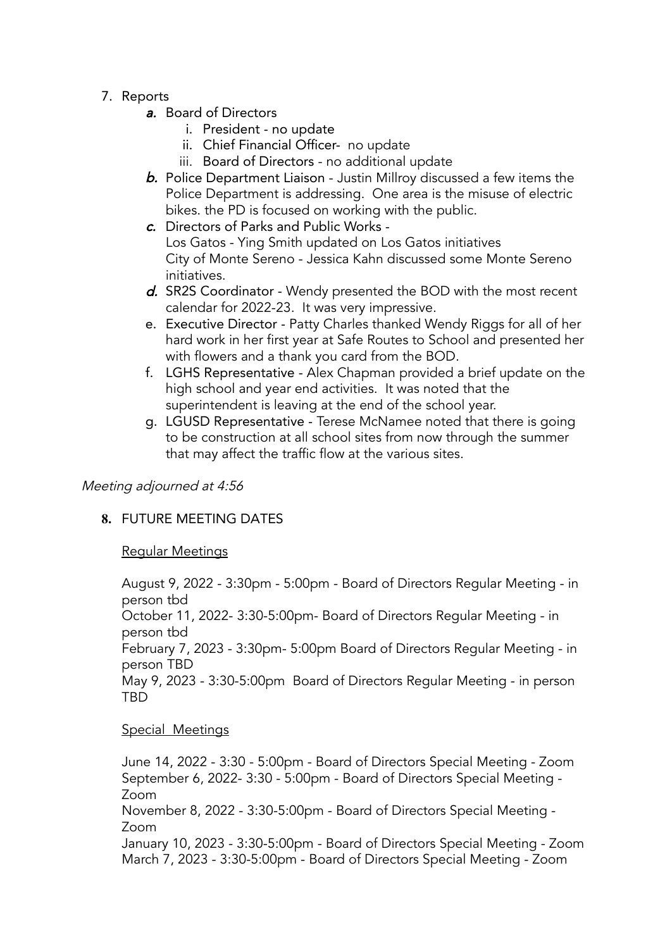## 7. Reports

- a. Board of Directors
	- i. President no update
	- ii. Chief Financial Officer- no update
	- iii. Board of Directors no additional update
- b. Police Department Liaison Justin Millroy discussed a few items the Police Department is addressing. One area is the misuse of electric bikes. the PD is focused on working with the public.
- c. Directors of Parks and Public Works Los Gatos - Ying Smith updated on Los Gatos initiatives City of Monte Sereno - Jessica Kahn discussed some Monte Sereno initiatives.
- d. SR2S Coordinator Wendy presented the BOD with the most recent calendar for 2022-23. It was very impressive.
- e. Executive Director Patty Charles thanked Wendy Riggs for all of her hard work in her first year at Safe Routes to School and presented her with flowers and a thank you card from the BOD.
- f. LGHS Representative Alex Chapman provided a brief update on the high school and year end activities. It was noted that the superintendent is leaving at the end of the school year.
- g. LGUSD Representative Terese McNamee noted that there is going to be construction at all school sites from now through the summer that may affect the traffic flow at the various sites.

## Meeting adjourned at 4:56

# **8.** FUTURE MEETING DATES

Regular Meetings

August 9, 2022 - 3:30pm - 5:00pm - Board of Directors Regular Meeting - in person tbd October 11, 2022- 3:30-5:00pm- Board of Directors Regular Meeting - in person tbd February 7, 2023 - 3:30pm- 5:00pm Board of Directors Regular Meeting - in person TBD May 9, 2023 - 3:30-5:00pm Board of Directors Regular Meeting - in person TBD

## Special Meetings

June 14, 2022 - 3:30 - 5:00pm - Board of Directors Special Meeting - Zoom September 6, 2022- 3:30 - 5:00pm - Board of Directors Special Meeting - Zoom November 8, 2022 - 3:30-5:00pm - Board of Directors Special Meeting - Zoom January 10, 2023 - 3:30-5:00pm - Board of Directors Special Meeting - Zoom March 7, 2023 - 3:30-5:00pm - Board of Directors Special Meeting - Zoom